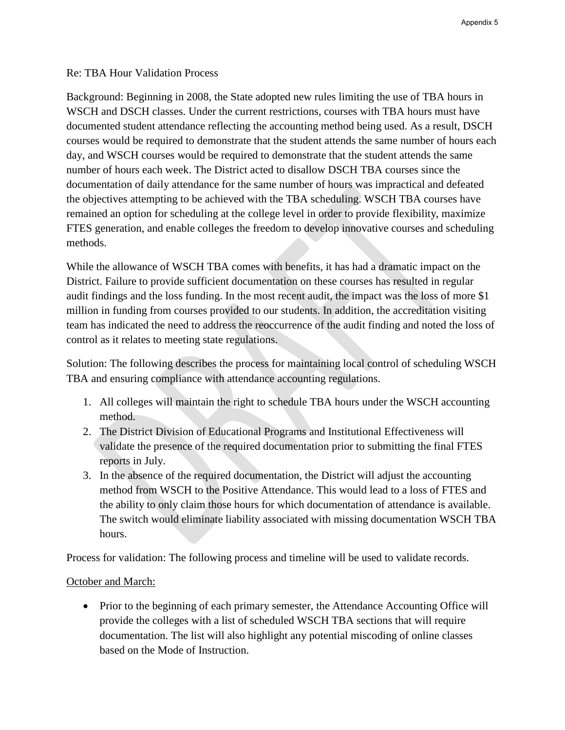## Re: TBA Hour Validation Process

Background: Beginning in 2008, the State adopted new rules limiting the use of TBA hours in WSCH and DSCH classes. Under the current restrictions, courses with TBA hours must have documented student attendance reflecting the accounting method being used. As a result, DSCH courses would be required to demonstrate that the student attends the same number of hours each day, and WSCH courses would be required to demonstrate that the student attends the same number of hours each week. The District acted to disallow DSCH TBA courses since the documentation of daily attendance for the same number of hours was impractical and defeated the objectives attempting to be achieved with the TBA scheduling. WSCH TBA courses have remained an option for scheduling at the college level in order to provide flexibility, maximize FTES generation, and enable colleges the freedom to develop innovative courses and scheduling methods.

While the allowance of WSCH TBA comes with benefits, it has had a dramatic impact on the District. Failure to provide sufficient documentation on these courses has resulted in regular audit findings and the loss funding. In the most recent audit, the impact was the loss of more \$1 million in funding from courses provided to our students. In addition, the accreditation visiting team has indicated the need to address the reoccurrence of the audit finding and noted the loss of control as it relates to meeting state regulations.

Solution: The following describes the process for maintaining local control of scheduling WSCH TBA and ensuring compliance with attendance accounting regulations.

- 1. All colleges will maintain the right to schedule TBA hours under the WSCH accounting method.
- 2. The District Division of Educational Programs and Institutional Effectiveness will validate the presence of the required documentation prior to submitting the final FTES reports in July.
- 3. In the absence of the required documentation, the District will adjust the accounting method from WSCH to the Positive Attendance. This would lead to a loss of FTES and the ability to only claim those hours for which documentation of attendance is available. The switch would eliminate liability associated with missing documentation WSCH TBA hours.

Process for validation: The following process and timeline will be used to validate records.

## October and March:

• Prior to the beginning of each primary semester, the Attendance Accounting Office will provide the colleges with a list of scheduled WSCH TBA sections that will require documentation. The list will also highlight any potential miscoding of online classes based on the Mode of Instruction.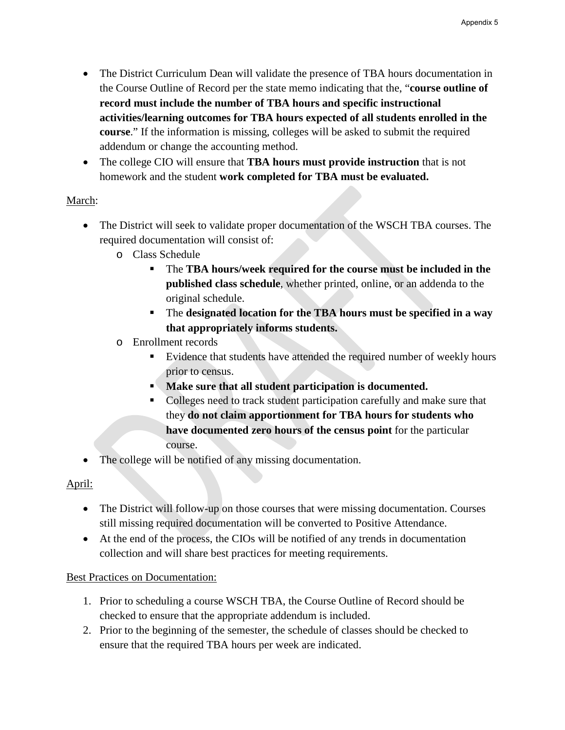- The District Curriculum Dean will validate the presence of TBA hours documentation in the Course Outline of Record per the state memo indicating that the, "**course outline of record must include the number of TBA hours and specific instructional activities/learning outcomes for TBA hours expected of all students enrolled in the course**." If the information is missing, colleges will be asked to submit the required addendum or change the accounting method.
- The college CIO will ensure that **TBA hours must provide instruction** that is not homework and the student **work completed for TBA must be evaluated.**

## March:

- The District will seek to validate proper documentation of the WSCH TBA courses. The required documentation will consist of:
	- o Class Schedule
		- The **TBA hours/week required for the course must be included in the published class schedule**, whether printed, online, or an addenda to the original schedule.
		- The **designated location for the TBA hours must be specified in a way that appropriately informs students.**
	- o Enrollment records
		- Evidence that students have attended the required number of weekly hours prior to census.
		- **Make sure that all student participation is documented.**
		- Colleges need to track student participation carefully and make sure that they **do not claim apportionment for TBA hours for students who have documented zero hours of the census point** for the particular course.
- The college will be notified of any missing documentation.

## April:

- The District will follow-up on those courses that were missing documentation. Courses still missing required documentation will be converted to Positive Attendance.
- At the end of the process, the CIOs will be notified of any trends in documentation collection and will share best practices for meeting requirements.

## Best Practices on Documentation:

- 1. Prior to scheduling a course WSCH TBA, the Course Outline of Record should be checked to ensure that the appropriate addendum is included.
- 2. Prior to the beginning of the semester, the schedule of classes should be checked to ensure that the required TBA hours per week are indicated.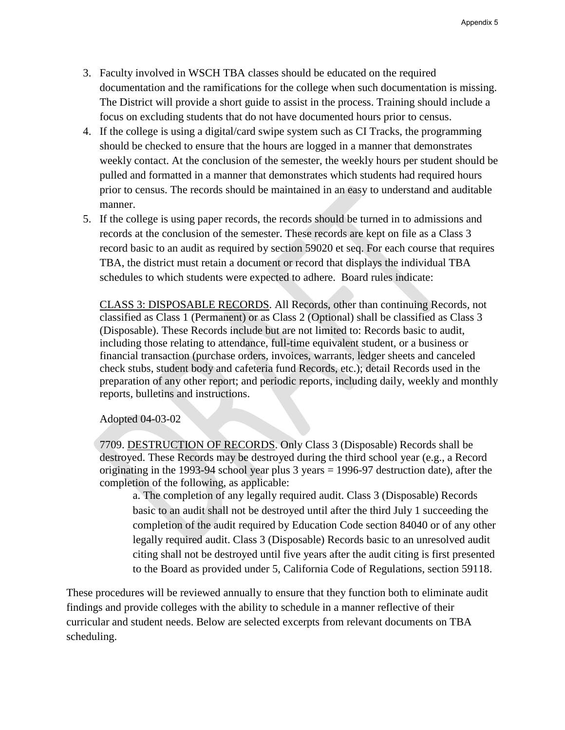- 3. Faculty involved in WSCH TBA classes should be educated on the required documentation and the ramifications for the college when such documentation is missing. The District will provide a short guide to assist in the process. Training should include a focus on excluding students that do not have documented hours prior to census.
- 4. If the college is using a digital/card swipe system such as CI Tracks, the programming should be checked to ensure that the hours are logged in a manner that demonstrates weekly contact. At the conclusion of the semester, the weekly hours per student should be pulled and formatted in a manner that demonstrates which students had required hours prior to census. The records should be maintained in an easy to understand and auditable manner.
- 5. If the college is using paper records, the records should be turned in to admissions and records at the conclusion of the semester. These records are kept on file as a Class 3 record basic to an audit as required by section 59020 et seq. For each course that requires TBA, the district must retain a document or record that displays the individual TBA schedules to which students were expected to adhere. Board rules indicate:

CLASS 3: DISPOSABLE RECORDS. All Records, other than continuing Records, not classified as Class 1 (Permanent) or as Class 2 (Optional) shall be classified as Class 3 (Disposable). These Records include but are not limited to: Records basic to audit, including those relating to attendance, full-time equivalent student, or a business or financial transaction (purchase orders, invoices, warrants, ledger sheets and canceled check stubs, student body and cafeteria fund Records, etc.); detail Records used in the preparation of any other report; and periodic reports, including daily, weekly and monthly reports, bulletins and instructions.

Adopted 04-03-02

7709. DESTRUCTION OF RECORDS. Only Class 3 (Disposable) Records shall be destroyed. These Records may be destroyed during the third school year (e.g., a Record originating in the 1993-94 school year plus 3 years = 1996-97 destruction date), after the completion of the following, as applicable:

a. The completion of any legally required audit. Class 3 (Disposable) Records basic to an audit shall not be destroyed until after the third July 1 succeeding the completion of the audit required by Education Code section 84040 or of any other legally required audit. Class 3 (Disposable) Records basic to an unresolved audit citing shall not be destroyed until five years after the audit citing is first presented to the Board as provided under 5, California Code of Regulations, section 59118.

These procedures will be reviewed annually to ensure that they function both to eliminate audit findings and provide colleges with the ability to schedule in a manner reflective of their curricular and student needs. Below are selected excerpts from relevant documents on TBA scheduling.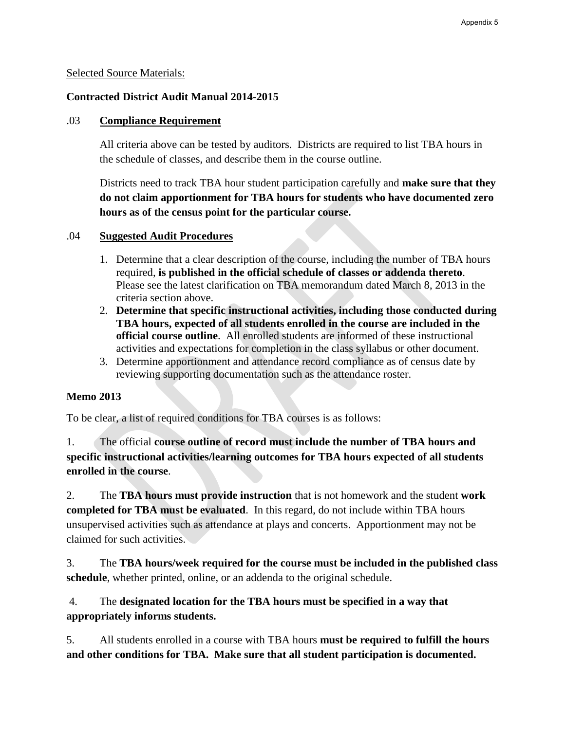### Selected Source Materials:

## **Contracted District Audit Manual 2014-2015**

## .03 **Compliance Requirement**

All criteria above can be tested by auditors. Districts are required to list TBA hours in the schedule of classes, and describe them in the course outline.

Districts need to track TBA hour student participation carefully and **make sure that they do not claim apportionment for TBA hours for students who have documented zero hours as of the census point for the particular course.**

#### .04 **Suggested Audit Procedures**

- 1. Determine that a clear description of the course, including the number of TBA hours required, **is published in the official schedule of classes or addenda thereto**. Please see the latest clarification on TBA memorandum dated March 8, 2013 in the criteria section above.
- 2. **Determine that specific instructional activities, including those conducted during TBA hours, expected of all students enrolled in the course are included in the official course outline**. All enrolled students are informed of these instructional activities and expectations for completion in the class syllabus or other document.
- 3. Determine apportionment and attendance record compliance as of census date by reviewing supporting documentation such as the attendance roster.

## **Memo 2013**

To be clear, a list of required conditions for TBA courses is as follows:

1. The official **course outline of record must include the number of TBA hours and specific instructional activities/learning outcomes for TBA hours expected of all students enrolled in the course**.

2. The **TBA hours must provide instruction** that is not homework and the student **work completed for TBA must be evaluated**. In this regard, do not include within TBA hours unsupervised activities such as attendance at plays and concerts. Apportionment may not be claimed for such activities.

3. The **TBA hours/week required for the course must be included in the published class schedule**, whether printed, online, or an addenda to the original schedule.

 4. The **designated location for the TBA hours must be specified in a way that appropriately informs students.**

5. All students enrolled in a course with TBA hours **must be required to fulfill the hours and other conditions for TBA. Make sure that all student participation is documented.**